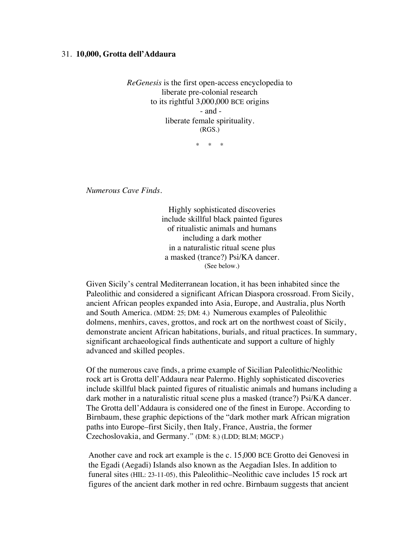## 31. **10,000, Grotta dell'Addaura**

*ReGenesis* is the first open-access encyclopedia to liberate pre-colonial research to its rightful 3,000,000 BCE origins - and liberate female spirituality. (RGS.)

\* \* \*

*Numerous Cave Finds.*

Highly sophisticated discoveries include skillful black painted figures of ritualistic animals and humans including a dark mother in a naturalistic ritual scene plus a masked (trance?) Psi/KA dancer. (See below.)

Given Sicily's central Mediterranean location, it has been inhabited since the Paleolithic and considered a significant African Diaspora crossroad. From Sicily, ancient African peoples expanded into Asia, Europe, and Australia, plus North and South America. (MDM: 25; DM: 4.) Numerous examples of Paleolithic dolmens, menhirs, caves, grottos, and rock art on the northwest coast of Sicily, demonstrate ancient African habitations, burials, and ritual practices. In summary, significant archaeological finds authenticate and support a culture of highly advanced and skilled peoples.

Of the numerous cave finds, a prime example of Sicilian Paleolithic/Neolithic rock art is Grotta dell'Addaura near Palermo. Highly sophisticated discoveries include skillful black painted figures of ritualistic animals and humans including a dark mother in a naturalistic ritual scene plus a masked (trance?) Psi/KA dancer. The Grotta dell'Addaura is considered one of the finest in Europe. According to Birnbaum, these graphic depictions of the "dark mother mark African migration paths into Europe–first Sicily, then Italy, France, Austria, the former Czechoslovakia, and Germany.*"* (DM: 8.) (LDD; BLM; MGCP.)

Another cave and rock art example is the c. 15,000 BCE Grotto dei Genovesi in the Egadi (Aegadi) Islands also known as the Aegadian Isles. In addition to funeral sites (HIL: 23-11-05), this Paleolithic–Neolithic cave includes 15 rock art figures of the ancient dark mother in red ochre. Birnbaum suggests that ancient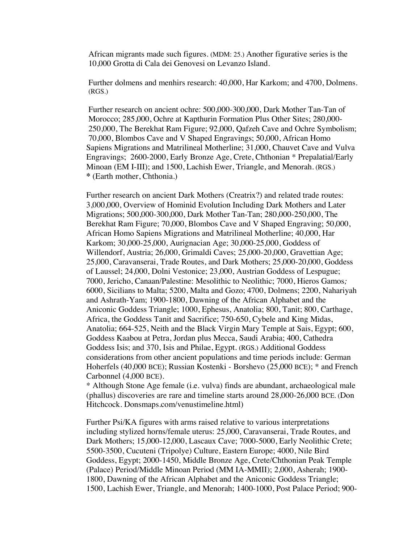African migrants made such figures. (MDM: 25.) Another figurative series is the 10,000 Grotta di Cala dei Genovesi on Levanzo Island.

Further dolmens and menhirs research: 40,000, Har Karkom; and 4700, Dolmens. (RGS.)

Further research on ancient ochre: 500,000-300,000, Dark Mother Tan-Tan of Morocco; 285,000, Ochre at Kapthurin Formation Plus Other Sites; 280,000- 250,000, The Berekhat Ram Figure; 92,000, Qafzeh Cave and Ochre Symbolism; 70,000, Blombos Cave and V Shaped Engravings; 50,000, African Homo Sapiens Migrations and Matrilineal Motherline; 31,000, Chauvet Cave and Vulva Engravings; 2600-2000, Early Bronze Age, Crete, Chthonian \* Prepalatial/Early Minoan (EM I-III); and 1500, Lachish Ewer, Triangle, and Menorah. (RGS.) **\*** (Earth mother, Chthonia.)

Further research on ancient Dark Mothers (Creatrix?) and related trade routes: 3,000,000, Overview of Hominid Evolution Including Dark Mothers and Later Migrations; 500,000-300,000, Dark Mother Tan-Tan; 280,000-250,000, The Berekhat Ram Figure; 70,000, Blombos Cave and V Shaped Engraving; 50,000, African Homo Sapiens Migrations and Matrilineal Motherline; 40,000, Har Karkom; 30,000-25,000, Aurignacian Age; 30,000-25,000, Goddess of Willendorf, Austria; 26,000, Grimaldi Caves; 25,000-20,000, Gravettian Age; 25,000, Caravanserai, Trade Routes, and Dark Mothers; 25,000-20,000, Goddess of Laussel; 24,000, Dolni Vestonice; 23,000, Austrian Goddess of Lespugue; 7000, Jericho, Canaan/Palestine: Mesolithic to Neolithic; 7000, Hieros Gamos*;* 6000, Sicilians to Malta; 5200, Malta and Gozo; 4700, Dolmens; 2200, Nahariyah and Ashrath-Yam; 1900-1800, Dawning of the African Alphabet and the Aniconic Goddess Triangle; 1000, Ephesus, Anatolia; 800, Tanit; 800, Carthage, Africa, the Goddess Tanit and Sacrifice; 750-650, Cybele and King Midas, Anatolia; 664-525, Neith and the Black Virgin Mary Temple at Sais, Egypt; 600, Goddess Kaabou at Petra, Jordan plus Mecca, Saudi Arabia; 400, Cathedra Goddess Isis; and 370, Isis and Philae, Egypt. (RGS.) Additional Goddess considerations from other ancient populations and time periods include: German Hoherfels (40,000 BCE); Russian Kostenki - Borshevo (25,000 BCE); \* and French Carbonnel (4,000 BCE).

\* Although Stone Age female (i.e. vulva) finds are abundant, archaeological male (phallus) discoveries are rare and timeline starts around 28,000-26,000 BCE. (Don Hitchcock. Donsmaps.com/venustimeline.html)

Further Psi/KA figures with arms raised relative to various interpretations including stylized horns/female uterus: 25,000, Caravanserai, Trade Routes, and Dark Mothers; 15,000-12,000, Lascaux Cave; 7000-5000, Early Neolithic Crete; 5500-3500, Cucuteni (Tripolye) Culture, Eastern Europe; 4000, Nile Bird Goddess, Egypt; 2000-1450, Middle Bronze Age, Crete/Chthonian Peak Temple (Palace) Period/Middle Minoan Period (MM IA-MMII); 2,000, Asherah; 1900- 1800, Dawning of the African Alphabet and the Aniconic Goddess Triangle; 1500, Lachish Ewer, Triangle, and Menorah; 1400-1000, Post Palace Period; 900-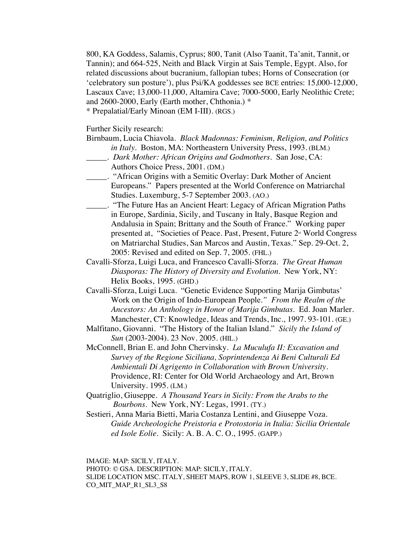800, KA Goddess, Salamis, Cyprus; 800, Tanit (Also Taanit, Ta'anit, Tannit, or Tannin); and 664-525, Neith and Black Virgin at Sais Temple, Egypt. Also, for related discussions about bucranium, fallopian tubes; Horns of Consecration (or 'celebratory sun posture'), plus Psi/KA goddesses see BCE entries: 15,000-12,000, Lascaux Cave; 13,000-11,000, Altamira Cave; 7000-5000, Early Neolithic Crete; and 2600-2000, Early (Earth mother, Chthonia.) \* \* Prepalatial/Early Minoan (EM I-III). (RGS.)

Further Sicily research:

- Birnbaum, Lucia Chiavola. *Black Madonnas: Feminism, Religion, and Politics in Italy.* Boston, MA: Northeastern University Press, 1993. (BLM.)
- \_\_\_\_\_. *Dark Mother: African Origins and Godmothers*. San Jose, CA: Authors Choice Press, 2001. (DM.)
- \_\_\_\_\_. "African Origins with a Semitic Overlay: Dark Mother of Ancient Europeans." Papers presented at the World Conference on Matriarchal Studies. Luxemburg, 5-7 September 2003. (AO.)
- \_\_\_\_\_. "The Future Has an Ancient Heart: Legacy of African Migration Paths in Europe, Sardinia, Sicily, and Tuscany in Italy, Basque Region and Andalusia in Spain; Brittany and the South of France." Working paper presented at, "Societies of Peace. Past, Present, Future 2<sup>™</sup> World Congress on Matriarchal Studies, San Marcos and Austin, Texas." Sep. 29-Oct. 2, 2005: Revised and edited on Sep. 7, 2005. (FHL.)
- Cavalli-Sforza, Luigi Luca, and Francesco Cavalli-Sforza. *The Great Human Diasporas: The History of Diversity and Evolution*. New York, NY: Helix Books, 1995. (GHD.)
- Cavalli-Sforza, Luigi Luca. "Genetic Evidence Supporting Marija Gimbutas' Work on the Origin of Indo-European People*." From the Realm of the Ancestors: An Anthology in Honor of Marija Gimbutas*. Ed. Joan Marler. Manchester, CT: Knowledge, Ideas and Trends, Inc., 1997. 93-101. (GE.)
- Malfitano, Giovanni. "The History of the Italian Island." *Sicily the Island of Sun* (2003-2004). 23 Nov. 2005. (HIL.)
- McConnell, Brian E. and John Chervinsky. *La Muculufa II: Excavation and Survey of the Regione Siciliana, Soprintendenza Ai Beni Culturali Ed Ambientali Di Agrigento in Collaboration with Brown University*. Providence, RI: Center for Old World Archaeology and Art, Brown University. 1995. (LM.)
- Quatriglio, Giuseppe. *A Thousand Years in Sicily: From the Arabs to the Bourbons*. New York, NY: Legas, 1991. (TY.)
- Sestieri, Anna Maria Bietti, Maria Costanza Lentini, and Giuseppe Voza. *Guide Archeologiche Preistoria e Protostoria in Italia: Sicilia Orientale ed Isole Eolie.* Sicily: A. B. A. C. O., 1995. (GAPP.)

IMAGE: MAP: SICILY, ITALY. PHOTO: © GSA. DESCRIPTION: MAP: SICILY, ITALY. SLIDE LOCATION MSC. ITALY, SHEET MAPS, ROW 1, SLEEVE 3, SLIDE #8, BCE. CO\_MIT\_MAP\_R1\_SL3\_S8